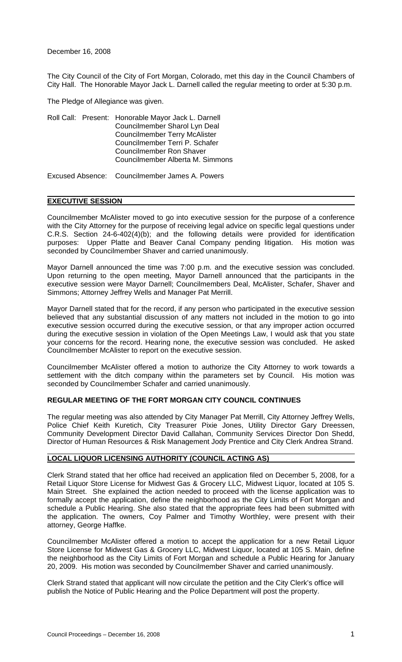December 16, 2008

The City Council of the City of Fort Morgan, Colorado, met this day in the Council Chambers of City Hall. The Honorable Mayor Jack L. Darnell called the regular meeting to order at 5:30 p.m.

The Pledge of Allegiance was given.

| Roll Call: Present: Honorable Mayor Jack L. Darnell |
|-----------------------------------------------------|
| Councilmember Sharol Lyn Deal                       |
| <b>Councilmember Terry McAlister</b>                |
| Councilmember Terri P. Schafer                      |
| Councilmember Ron Shaver                            |
| Councilmember Alberta M. Simmons                    |
|                                                     |

Excused Absence: Councilmember James A. Powers

# **EXECUTIVE SESSION**

Councilmember McAlister moved to go into executive session for the purpose of a conference with the City Attorney for the purpose of receiving legal advice on specific legal questions under C.R.S. Section 24-6-402(4)(b); and the following details were provided for identification purposes: Upper Platte and Beaver Canal Company pending litigation. His motion was seconded by Councilmember Shaver and carried unanimously.

Mayor Darnell announced the time was 7:00 p.m. and the executive session was concluded. Upon returning to the open meeting, Mayor Darnell announced that the participants in the executive session were Mayor Darnell; Councilmembers Deal, McAlister, Schafer, Shaver and Simmons; Attorney Jeffrey Wells and Manager Pat Merrill.

Mayor Darnell stated that for the record, if any person who participated in the executive session believed that any substantial discussion of any matters not included in the motion to go into executive session occurred during the executive session, or that any improper action occurred during the executive session in violation of the Open Meetings Law, I would ask that you state your concerns for the record. Hearing none, the executive session was concluded.He asked Councilmember McAlister to report on the executive session.

Councilmember McAlister offered a motion to authorize the City Attorney to work towards a settlement with the ditch company within the parameters set by Council. His motion was seconded by Councilmember Schafer and carried unanimously.

## **REGULAR MEETING OF THE FORT MORGAN CITY COUNCIL CONTINUES**

The regular meeting was also attended by City Manager Pat Merrill, City Attorney Jeffrey Wells, Police Chief Keith Kuretich, City Treasurer Pixie Jones, Utility Director Gary Dreessen, Community Development Director David Callahan, Community Services Director Don Shedd, Director of Human Resources & Risk Management Jody Prentice and City Clerk Andrea Strand.

### **LOCAL LIQUOR LICENSING AUTHORITY (COUNCIL ACTING AS)**

Clerk Strand stated that her office had received an application filed on December 5, 2008, for a Retail Liquor Store License for Midwest Gas & Grocery LLC, Midwest Liquor, located at 105 S. Main Street. She explained the action needed to proceed with the license application was to formally accept the application, define the neighborhood as the City Limits of Fort Morgan and schedule a Public Hearing. She also stated that the appropriate fees had been submitted with the application. The owners, Coy Palmer and Timothy Worthley, were present with their attorney, George Haffke.

Councilmember McAlister offered a motion to accept the application for a new Retail Liquor Store License for Midwest Gas & Grocery LLC, Midwest Liquor, located at 105 S. Main, define the neighborhood as the City Limits of Fort Morgan and schedule a Public Hearing for January 20, 2009. His motion was seconded by Councilmember Shaver and carried unanimously.

Clerk Strand stated that applicant will now circulate the petition and the City Clerk's office will publish the Notice of Public Hearing and the Police Department will post the property.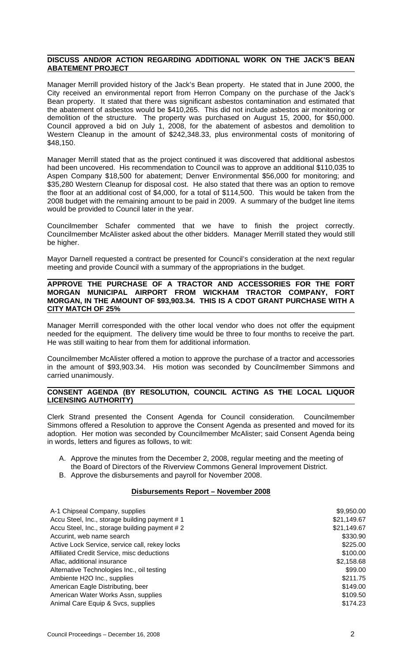### **DISCUSS AND/OR ACTION REGARDING ADDITIONAL WORK ON THE JACK'S BEAN ABATEMENT PROJECT**

Manager Merrill provided history of the Jack's Bean property. He stated that in June 2000, the City received an environmental report from Herron Company on the purchase of the Jack's Bean property. It stated that there was significant asbestos contamination and estimated that the abatement of asbestos would be \$410,265. This did not include asbestos air monitoring or demolition of the structure. The property was purchased on August 15, 2000, for \$50,000. Council approved a bid on July 1, 2008, for the abatement of asbestos and demolition to Western Cleanup in the amount of \$242,348.33, plus environmental costs of monitoring of \$48,150.

Manager Merrill stated that as the project continued it was discovered that additional asbestos had been uncovered. His recommendation to Council was to approve an additional \$110,035 to Aspen Company \$18,500 for abatement; Denver Environmental \$56,000 for monitoring; and \$35,280 Western Cleanup for disposal cost. He also stated that there was an option to remove the floor at an additional cost of \$4,000, for a total of \$114,500. This would be taken from the 2008 budget with the remaining amount to be paid in 2009. A summary of the budget line items would be provided to Council later in the year.

Councilmember Schafer commented that we have to finish the project correctly. Councilmember McAlister asked about the other bidders. Manager Merrill stated they would still be higher.

Mayor Darnell requested a contract be presented for Council's consideration at the next regular meeting and provide Council with a summary of the appropriations in the budget.

# **APPROVE THE PURCHASE OF A TRACTOR AND ACCESSORIES FOR THE FORT MORGAN MUNICIPAL AIRPORT FROM WICKHAM TRACTOR COMPANY, FORT MORGAN, IN THE AMOUNT OF \$93,903.34. THIS IS A CDOT GRANT PURCHASE WITH A CITY MATCH OF 25%**

Manager Merrill corresponded with the other local vendor who does not offer the equipment needed for the equipment. The delivery time would be three to four months to receive the part. He was still waiting to hear from them for additional information.

Councilmember McAlister offered a motion to approve the purchase of a tractor and accessories in the amount of \$93,903.34. His motion was seconded by Councilmember Simmons and carried unanimously.

### **CONSENT AGENDA (BY RESOLUTION, COUNCIL ACTING AS THE LOCAL LIQUOR LICENSING AUTHORITY)**

Clerk Strand presented the Consent Agenda for Council consideration. Councilmember Simmons offered a Resolution to approve the Consent Agenda as presented and moved for its adoption. Her motion was seconded by Councilmember McAlister; said Consent Agenda being in words, letters and figures as follows, to wit:

- A. Approve the minutes from the December 2, 2008, regular meeting and the meeting of the Board of Directors of the Riverview Commons General Improvement District.
- B. Approve the disbursements and payroll for November 2008.

# **Disbursements Report – November 2008**

| A-1 Chipseal Company, supplies<br>Accu Steel, Inc., storage building payment #1 | \$9,950.00<br>\$21,149.67 |
|---------------------------------------------------------------------------------|---------------------------|
| Accu Steel, Inc., storage building payment #2                                   | \$21,149.67               |
| Accurint, web name search                                                       | \$330.90                  |
| Active Lock Service, service call, rekey locks                                  | \$225.00                  |
| Affiliated Credit Service, misc deductions                                      | \$100.00                  |
| Aflac, additional insurance                                                     | \$2,158.68                |
| Alternative Technologies Inc., oil testing                                      | \$99.00                   |
| Ambiente H2O Inc., supplies                                                     | \$211.75                  |
| American Eagle Distributing, beer                                               | \$149.00                  |
| American Water Works Assn, supplies                                             | \$109.50                  |
| Animal Care Equip & Svcs, supplies                                              | \$174.23                  |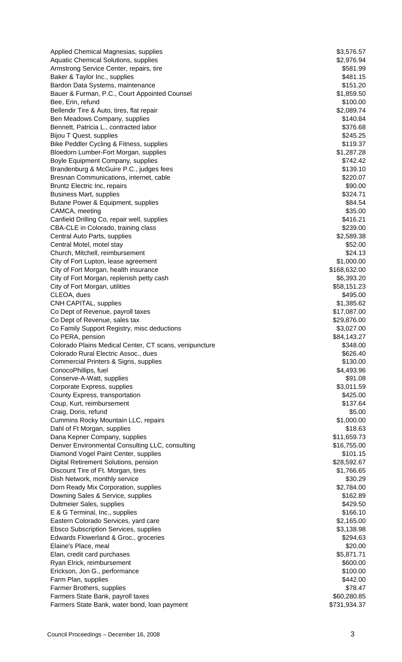| Applied Chemical Magnesias, supplies                                    | \$3,576.57                 |
|-------------------------------------------------------------------------|----------------------------|
| <b>Aquatic Chemical Solutions, supplies</b>                             | \$2,976.94                 |
| Armstrong Service Center, repairs, tire                                 | \$581.99                   |
| Baker & Taylor Inc., supplies                                           | \$481.15                   |
| Bardon Data Systems, maintenance                                        | \$151.20                   |
| Bauer & Furman, P.C., Court Appointed Counsel                           | \$1,859.50                 |
| Bee, Erin, refund                                                       | \$100.00                   |
| Bellendir Tire & Auto, tires, flat repair                               | \$2,089.74<br>\$140.84     |
| Ben Meadows Company, supplies<br>Bennett, Patricia L., contracted labor | \$376.68                   |
| Bijou T Quest, supplies                                                 | \$245.25                   |
| Bike Peddler Cycling & Fitness, supplies                                | \$119.37                   |
| Bloedorn Lumber-Fort Morgan, supplies                                   | \$1,287.28                 |
| Boyle Equipment Company, supplies                                       | \$742.42                   |
| Brandenburg & McGuire P.C., judges fees                                 | \$139.10                   |
| Bresnan Communications, internet, cable                                 | \$220.07                   |
| Bruntz Electric Inc, repairs                                            | \$90.00                    |
| <b>Business Mart, supplies</b>                                          | \$324.71                   |
| Butane Power & Equipment, supplies                                      | \$84.54                    |
| CAMCA, meeting                                                          | \$35.00                    |
| Canfield Drilling Co, repair well, supplies                             | \$416.21                   |
| CBA-CLE in Colorado, training class                                     | \$239.00                   |
| Central Auto Parts, supplies                                            | \$2,589.38                 |
| Central Motel, motel stay                                               | \$52.00                    |
| Church, Mitchell, reimbursement                                         | \$24.13                    |
| City of Fort Lupton, lease agreement                                    | \$1,000.00                 |
| City of Fort Morgan, health insurance                                   | \$168,632.00               |
| City of Fort Morgan, replenish petty cash                               | \$6,393.20                 |
| City of Fort Morgan, utilities                                          | \$58,151.23                |
| CLEOA, dues                                                             | \$495.00                   |
| CNH CAPITAL, supplies                                                   | \$1,385.62                 |
| Co Dept of Revenue, payroll taxes<br>Co Dept of Revenue, sales tax      | \$17,087.00<br>\$29,876.00 |
| Co Family Support Registry, misc deductions                             | \$3,027.00                 |
| Co PERA, pension                                                        | \$84,143.27                |
| Colorado Plains Medical Center, CT scans, venipuncture                  | \$348.00                   |
| Colorado Rural Electric Assoc., dues                                    | \$626.40                   |
| Commercial Printers & Signs, supplies                                   | \$130.00                   |
| ConocoPhillips, fuel                                                    | \$4,493.96                 |
| Conserve-A-Watt, supplies                                               | \$91.08                    |
| Corporate Express, supplies                                             | \$3,011.59                 |
| County Express, transportation                                          | \$425.00                   |
| Coup, Kurt, reimbursement                                               | \$137.64                   |
| Craig, Doris, refund                                                    | \$5.00                     |
| Cummins Rocky Mountain LLC, repairs                                     | \$1,000.00                 |
| Dahl of Ft Morgan, supplies                                             | \$18.63                    |
| Dana Kepner Company, supplies                                           | \$11,659.73                |
| Denver Environmental Consulting LLC, consulting                         | \$16,755.00                |
| Diamond Vogel Paint Center, supplies                                    | \$101.15                   |
| Digital Retirement Solutions, pension                                   | \$28,592.67                |
| Discount Tire of Ft. Morgan, tires                                      | \$1,766.65                 |
| Dish Network, monthly service                                           | \$30.29                    |
| Dorn Ready Mix Corporation, supplies                                    | \$2,784.00                 |
| Downing Sales & Service, supplies                                       | \$162.89                   |
| Dultmeier Sales, supplies                                               | \$429.50                   |
| E & G Terminal, Inc., supplies<br>Eastern Colorado Services, yard care  | \$166.10<br>\$2,165.00     |
| <b>Ebsco Subscription Services, supplies</b>                            | \$3,138.98                 |
| Edwards Flowerland & Groc., groceries                                   | \$294.63                   |
| Elaine's Place, meal                                                    | \$20.00                    |
| Elan, credit card purchases                                             | \$5,871.71                 |
| Ryan Elrick, reimbursement                                              | \$600.00                   |
| Erickson, Jon G., performance                                           | \$100.00                   |
| Farm Plan, supplies                                                     | \$442.00                   |
| Farmer Brothers, supplies                                               | \$78.47                    |
| Farmers State Bank, payroll taxes                                       | \$60,280.85                |
| Farmers State Bank, water bond, Ioan payment                            | \$731,934.37               |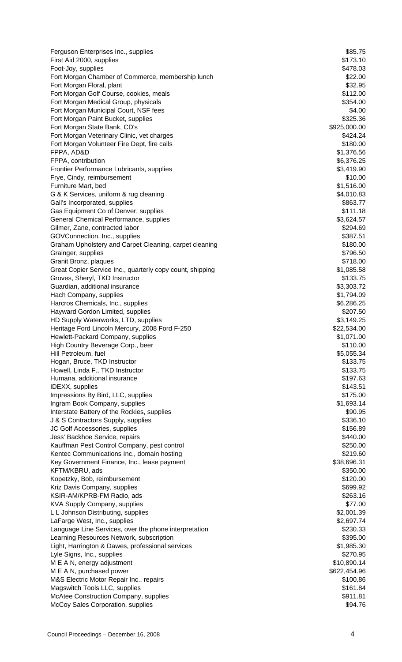| Ferguson Enterprises Inc., supplies                                                   | \$85.75                |
|---------------------------------------------------------------------------------------|------------------------|
| First Aid 2000, supplies                                                              | \$173.10               |
| Foot-Joy, supplies                                                                    | \$478.03               |
| Fort Morgan Chamber of Commerce, membership lunch                                     | \$22.00                |
| Fort Morgan Floral, plant                                                             | \$32.95                |
| Fort Morgan Golf Course, cookies, meals<br>Fort Morgan Medical Group, physicals       | \$112.00<br>\$354.00   |
| Fort Morgan Municipal Court, NSF fees                                                 | \$4.00                 |
| Fort Morgan Paint Bucket, supplies                                                    | \$325.36               |
| Fort Morgan State Bank, CD's                                                          | \$925,000.00           |
| Fort Morgan Veterinary Clinic, vet charges                                            | \$424.24               |
| Fort Morgan Volunteer Fire Dept, fire calls                                           | \$180.00               |
| FPPA, AD&D                                                                            | \$1,376.56             |
| FPPA, contribution                                                                    | \$6,376.25             |
| Frontier Performance Lubricants, supplies                                             | \$3,419.90             |
| Frye, Cindy, reimbursement                                                            | \$10.00                |
| Furniture Mart, bed                                                                   | \$1,516.00             |
| G & K Services, uniform & rug cleaning                                                | \$4,010.83             |
| Gall's Incorporated, supplies<br>Gas Equipment Co of Denver, supplies                 | \$863.77<br>\$111.18   |
| General Chemical Performance, supplies                                                | \$3,624.57             |
| Gilmer, Zane, contracted labor                                                        | \$294.69               |
| GOVConnection, Inc., supplies                                                         | \$387.51               |
| Graham Upholstery and Carpet Cleaning, carpet cleaning                                | \$180.00               |
| Grainger, supplies                                                                    | \$796.50               |
| Granit Bronz, plaques                                                                 | \$718.00               |
| Great Copier Service Inc., quarterly copy count, shipping                             | \$1,085.58             |
| Groves, Sheryl, TKD Instructor                                                        | \$133.75               |
| Guardian, additional insurance                                                        | \$3,303.72             |
| Hach Company, supplies                                                                | \$1,794.09             |
| Harcros Chemicals, Inc., supplies                                                     | \$6,286.25             |
| Hayward Gordon Limited, supplies                                                      | \$207.50<br>\$3,149.25 |
| HD Supply Waterworks, LTD, supplies<br>Heritage Ford Lincoln Mercury, 2008 Ford F-250 | \$22,534.00            |
| Hewlett-Packard Company, supplies                                                     | \$1,071.00             |
| High Country Beverage Corp., beer                                                     | \$110.00               |
| Hill Petroleum, fuel                                                                  | \$5,055.34             |
| Hogan, Bruce, TKD Instructor                                                          | \$133.75               |
| Howell, Linda F., TKD Instructor                                                      | \$133.75               |
| Humana, additional insurance                                                          | \$197.63               |
| IDEXX, supplies                                                                       | \$143.51               |
| Impressions By Bird, LLC, supplies                                                    | \$175.00               |
| Ingram Book Company, supplies                                                         | \$1,693.14             |
| Interstate Battery of the Rockies, supplies                                           | \$90.95                |
| J & S Contractors Supply, supplies<br>JC Golf Accessories, supplies                   | \$336.10<br>\$156.89   |
| Jess' Backhoe Service, repairs                                                        | \$440.00               |
| Kauffman Pest Control Company, pest control                                           | \$250.00               |
| Kentec Communications Inc., domain hosting                                            | \$219.60               |
| Key Government Finance, Inc., lease payment                                           | \$38,696.31            |
| KFTM/KBRU, ads                                                                        | \$350.00               |
| Kopetzky, Bob, reimbursement                                                          | \$120.00               |
| Kriz Davis Company, supplies                                                          | \$699.92               |
| KSIR-AM/KPRB-FM Radio, ads                                                            | \$263.16               |
| <b>KVA Supply Company, supplies</b>                                                   | \$77.00                |
| L L Johnson Distributing, supplies                                                    | \$2,001.39             |
| LaFarge West, Inc., supplies                                                          | \$2,697.74             |
| Language Line Services, over the phone interpretation                                 | \$230.33               |
| Learning Resources Network, subscription                                              | \$395.00<br>\$1,985.30 |
| Light, Harrington & Dawes, professional services<br>Lyle Signs, Inc., supplies        | \$270.95               |
| M E A N, energy adjustment                                                            | \$10,890.14            |
| M E A N, purchased power                                                              | \$622,454.96           |
| M&S Electric Motor Repair Inc., repairs                                               | \$100.86               |
| Magswitch Tools LLC, supplies                                                         | \$161.84               |
| McAtee Construction Company, supplies                                                 | \$911.81               |
| McCoy Sales Corporation, supplies                                                     | \$94.76                |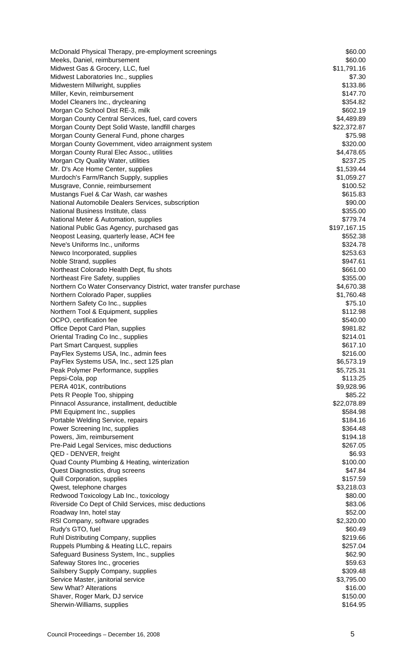| McDonald Physical Therapy, pre-employment screenings                                       | \$60.00              |
|--------------------------------------------------------------------------------------------|----------------------|
| Meeks, Daniel, reimbursement                                                               | \$60.00              |
| Midwest Gas & Grocery, LLC, fuel                                                           | \$11,791.16          |
| Midwest Laboratories Inc., supplies                                                        | \$7.30               |
| Midwestern Millwright, supplies                                                            | \$133.86             |
| Miller, Kevin, reimbursement                                                               | \$147.70             |
| Model Cleaners Inc., drycleaning                                                           | \$354.82             |
| Morgan Co School Dist RE-3, milk                                                           | \$602.19             |
| Morgan County Central Services, fuel, card covers                                          | \$4,489.89           |
| Morgan County Dept Solid Waste, landfill charges                                           | \$22,372.87          |
| Morgan County General Fund, phone charges                                                  | \$75.98              |
| Morgan County Government, video arraignment system                                         | \$320.00             |
| Morgan County Rural Elec Assoc., utilities                                                 | \$4,478.65           |
| Morgan Cty Quality Water, utilities                                                        | \$237.25             |
| Mr. D's Ace Home Center, supplies                                                          | \$1,539.44           |
| Murdoch's Farm/Ranch Supply, supplies                                                      | \$1,059.27           |
| Musgrave, Connie, reimbursement                                                            | \$100.52             |
| Mustangs Fuel & Car Wash, car washes<br>National Automobile Dealers Services, subscription | \$615.83<br>\$90.00  |
| National Business Institute, class                                                         | \$355.00             |
| National Meter & Automation, supplies                                                      | \$779.74             |
| National Public Gas Agency, purchased gas                                                  | \$197,167.15         |
| Neopost Leasing, quarterly lease, ACH fee                                                  | \$552.38             |
| Neve's Uniforms Inc., uniforms                                                             | \$324.78             |
| Newco Incorporated, supplies                                                               | \$253.63             |
| Noble Strand, supplies                                                                     | \$947.61             |
| Northeast Colorado Health Dept, flu shots                                                  | \$661.00             |
| Northeast Fire Safety, supplies                                                            | \$355.00             |
| Northern Co Water Conservancy District, water transfer purchase                            | \$4,670.38           |
| Northern Colorado Paper, supplies                                                          | \$1,760.48           |
| Northern Safety Co Inc., supplies                                                          | \$75.10              |
| Northern Tool & Equipment, supplies                                                        | \$112.98             |
| OCPO, certification fee                                                                    | \$540.00             |
| Office Depot Card Plan, supplies                                                           | \$981.82             |
| Oriental Trading Co Inc., supplies                                                         | \$214.01             |
| Part Smart Carquest, supplies                                                              | \$617.10             |
| PayFlex Systems USA, Inc., admin fees                                                      | \$216.00             |
| PayFlex Systems USA, Inc., sect 125 plan                                                   | \$6,573.19           |
| Peak Polymer Performance, supplies                                                         | \$5,725.31           |
| Pepsi-Cola, pop                                                                            | \$113.25             |
| PERA 401K, contributions                                                                   | \$9,928.96           |
| Pets R People Too, shipping                                                                | \$85.22              |
| Pinnacol Assurance, installment, deductible                                                | \$22,078.89          |
| PMI Equipment Inc., supplies                                                               | \$584.98             |
| Portable Welding Service, repairs                                                          | \$184.16             |
| Power Screening Inc, supplies                                                              | \$364.48             |
| Powers, Jim, reimbursement<br>Pre-Paid Legal Services, misc deductions                     | \$194.18<br>\$267.05 |
| QED - DENVER, freight                                                                      | \$6.93               |
| Quad County Plumbing & Heating, winterization                                              | \$100.00             |
| Quest Diagnostics, drug screens                                                            | \$47.84              |
| Quill Corporation, supplies                                                                | \$157.59             |
| Qwest, telephone charges                                                                   | \$3,218.03           |
| Redwood Toxicology Lab Inc., toxicology                                                    | \$80.00              |
| Riverside Co Dept of Child Services, misc deductions                                       | \$83.06              |
| Roadway Inn, hotel stay                                                                    | \$52.00              |
| RSI Company, software upgrades                                                             | \$2,320.00           |
| Rudy's GTO, fuel                                                                           | \$60.49              |
| Ruhl Distributing Company, supplies                                                        | \$219.66             |
| Ruppels Plumbing & Heating LLC, repairs                                                    | \$257.04             |
| Safeguard Business System, Inc., supplies                                                  | \$62.90              |
| Safeway Stores Inc., groceries                                                             | \$59.63              |
| Sailsbery Supply Company, supplies                                                         | \$309.48             |
| Service Master, janitorial service                                                         | \$3,795.00           |
| Sew What? Alterations                                                                      | \$16.00              |
| Shaver, Roger Mark, DJ service                                                             | \$150.00             |
| Sherwin-Williams, supplies                                                                 | \$164.95             |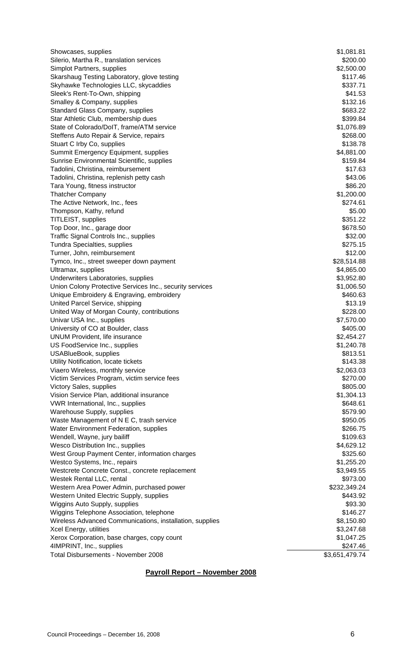| Showcases, supplies                                                             | \$1,081.81             |
|---------------------------------------------------------------------------------|------------------------|
| Silerio, Martha R., translation services                                        | \$200.00               |
| Simplot Partners, supplies                                                      | \$2,500.00             |
| Skarshaug Testing Laboratory, glove testing                                     | \$117.46               |
| Skyhawke Technologies LLC, skycaddies                                           | \$337.71               |
| Sleek's Rent-To-Own, shipping                                                   | \$41.53                |
| Smalley & Company, supplies                                                     | \$132.16               |
| Standard Glass Company, supplies                                                | \$683.22               |
| Star Athletic Club, membership dues                                             | \$399.84               |
| State of Colorado/DoIT, frame/ATM service                                       | \$1,076.89             |
| Steffens Auto Repair & Service, repairs                                         | \$268.00<br>\$138.78   |
| Stuart C Irby Co, supplies<br>Summit Emergency Equipment, supplies              | \$4,881.00             |
| Sunrise Environmental Scientific, supplies                                      | \$159.84               |
| Tadolini, Christina, reimbursement                                              | \$17.63                |
| Tadolini, Christina, replenish petty cash                                       | \$43.06                |
| Tara Young, fitness instructor                                                  | \$86.20                |
| <b>Thatcher Company</b>                                                         | \$1,200.00             |
| The Active Network, Inc., fees                                                  | \$274.61               |
| Thompson, Kathy, refund                                                         | \$5.00                 |
| TITLEIST, supplies                                                              | \$351.22               |
| Top Door, Inc., garage door                                                     | \$678.50               |
| Traffic Signal Controls Inc., supplies                                          | \$32.00                |
| Tundra Specialties, supplies                                                    | \$275.15               |
| Turner, John, reimbursement                                                     | \$12.00                |
| Tymco, Inc., street sweeper down payment                                        | \$28,514.88            |
| Ultramax, supplies                                                              | \$4,865.00             |
| Underwriters Laboratories, supplies                                             | \$3,952.80             |
| Union Colony Protective Services Inc., security services                        | \$1,006.50             |
| Unique Embroidery & Engraving, embroidery                                       | \$460.63<br>\$13.19    |
| United Parcel Service, shipping<br>United Way of Morgan County, contributions   | \$228.00               |
| Univar USA Inc., supplies                                                       | \$7,570.00             |
| University of CO at Boulder, class                                              | \$405.00               |
| <b>UNUM Provident, life insurance</b>                                           | \$2,454.27             |
| US FoodService Inc., supplies                                                   | \$1,240.78             |
| <b>USABlueBook, supplies</b>                                                    | \$813.51               |
| Utility Notification, locate tickets                                            | \$143.38               |
| Viaero Wireless, monthly service                                                | \$2,063.03             |
| Victim Services Program, victim service fees                                    | \$270.00               |
| Victory Sales, supplies                                                         | \$805.00               |
| Vision Service Plan, additional insurance                                       | \$1,304.13             |
| VWR International, Inc., supplies                                               | \$648.61               |
| Warehouse Supply, supplies                                                      | \$579.90               |
| Waste Management of N E C, trash service                                        | \$950.05               |
| Water Environment Federation, supplies                                          | \$266.75               |
| Wendell, Wayne, jury bailiff                                                    | \$109.63               |
| Wesco Distribution Inc., supplies                                               | \$4,629.12             |
| West Group Payment Center, information charges<br>Westco Systems, Inc., repairs | \$325.60<br>\$1,255.20 |
| Westcrete Concrete Const., concrete replacement                                 | \$3,949.55             |
| Westek Rental LLC, rental                                                       | \$973.00               |
| Western Area Power Admin, purchased power                                       | \$232,349.24           |
| Western United Electric Supply, supplies                                        | \$443.92               |
| Wiggins Auto Supply, supplies                                                   | \$93.30                |
| Wiggins Telephone Association, telephone                                        | \$146.27               |
| Wireless Advanced Communications, installation, supplies                        | \$8,150.80             |
| Xcel Energy, utilities                                                          | \$3,247.68             |
| Xerox Corporation, base charges, copy count                                     | \$1,047.25             |
| 4IMPRINT, Inc., supplies                                                        | \$247.46               |
| Total Disbursements - November 2008                                             | \$3,651,479.74         |

# **Payroll Report – November 2008**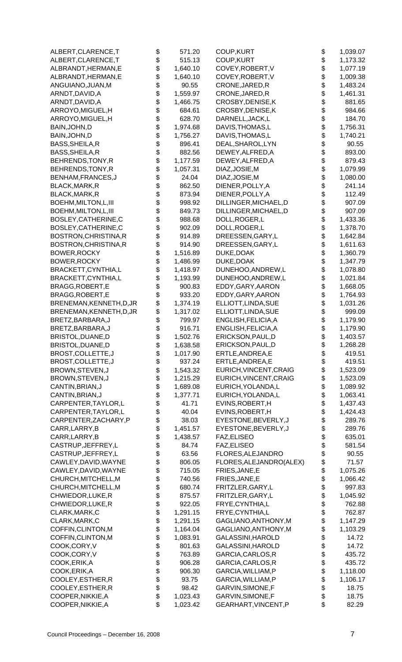| ALBERT, CLARENCE, T      | \$       | 571.20   | COUP, KURT              | \$<br>1,039.07 |
|--------------------------|----------|----------|-------------------------|----------------|
| ALBERT, CLARENCE, T      | \$       | 515.13   | <b>COUP, KURT</b>       | \$<br>1,173.32 |
| ALBRANDT, HERMAN, E      | \$       | 1,640.10 | COVEY, ROBERT, V        | \$<br>1,077.19 |
| ALBRANDT, HERMAN, E      | \$       | 1,640.10 | COVEY, ROBERT, V        | \$<br>1,009.38 |
| ANGUIANO, JUAN, M        | \$       | 90.55    | CRONE, JARED, R         | \$<br>1,483.24 |
| ARNDT, DAVID, A          | \$       | 1,559.97 | CRONE, JARED, R         | \$<br>1,461.31 |
| ARNDT, DAVID, A          | \$       | 1,466.75 | CROSBY, DENISE, K       | \$<br>881.65   |
| ARROYO, MIGUEL, H        | \$       | 684.61   | CROSBY, DENISE, K       | \$<br>984.66   |
| ARROYO, MIGUEL, H        | \$       | 628.70   | DARNELL, JACK, L        | \$<br>184.70   |
| BAIN, JOHN, D            | \$       | 1,974.68 | DAVIS, THOMAS, L        | \$<br>1,756.31 |
| BAIN, JOHN, D            |          | 1,756.27 | DAVIS, THOMAS, L        | \$<br>1,740.21 |
| BASS, SHEILA, R          |          | 896.41   | DEAL, SHAROL, LYN       | \$<br>90.55    |
| BASS, SHEILA, R          |          | 882.56   | DEWEY, ALFRED, A        | \$<br>893.00   |
| BEHRENDS, TONY, R        | \$\$\$\$ | 1,177.59 | DEWEY, ALFRED, A        | \$<br>879.43   |
| BEHRENDS, TONY, R        | \$       | 1,057.31 | DIAZ, JOSIE, M          | \$<br>1,079.99 |
| BENHAM, FRANCES, J       | \$       | 24.04    | DIAZ, JOSIE, M          | \$<br>1,080.00 |
| BLACK, MARK, R           | \$       | 862.50   | DIENER, POLLY, A        | \$<br>241.14   |
| BLACK, MARK, R           | \$       | 873.94   | DIENER, POLLY, A        | \$<br>112.49   |
| BOEHM, MILTON, L, III    |          | 998.92   | DILLINGER, MICHAEL, D   | \$<br>907.09   |
| BOEHM, MILTON, L, III    | \$<br>\$ | 849.73   | DILLINGER, MICHAEL, D   | \$<br>907.09   |
| BOSLEY, CATHERINE, C     | \$       | 988.68   | DOLL, ROGER, L          | \$<br>1,433.36 |
| BOSLEY, CATHERINE, C     | \$       | 902.09   | DOLL, ROGER, L          | \$<br>1,378.70 |
| BOSTRON, CHRISTINA, R    | \$       | 914.89   | DREESSEN, GARY, L       | \$<br>1,642.84 |
|                          | \$       |          |                         |                |
| BOSTRON, CHRISTINA, R    |          | 914.90   | DREESSEN, GARY, L       | \$<br>1,611.63 |
| BOWER, ROCKY             | \$       | 1,516.89 | DUKE, DOAK              | \$<br>1,360.79 |
| BOWER, ROCKY             | \$       | 1,486.99 | DUKE, DOAK              | \$<br>1,347.79 |
| BRACKETT, CYNTHIA, L     | \$       | 1,418.97 | DUNEHOO, ANDREW, L      | \$<br>1,078.80 |
| BRACKETT, CYNTHIA, L     | \$       | 1,193.99 | DUNEHOO, ANDREW, L      | \$<br>1,021.84 |
| BRAGG, ROBERT, E         | \$       | 900.83   | EDDY, GARY, AARON       | \$<br>1,668.05 |
| BRAGG, ROBERT, E         | \$       | 933.20   | EDDY, GARY, AARON       | \$<br>1,764.93 |
| BRENEMAN, KENNETH, D, JR | \$       | 1,374.19 | ELLIOTT, LINDA, SUE     | \$<br>1,031.26 |
| BRENEMAN, KENNETH, D, JR | \$       | 1,317.02 | ELLIOTT, LINDA, SUE     | \$<br>999.09   |
| BRETZ, BARBARA, J        | \$       | 799.97   | ENGLISH, FELICIA, A     | \$<br>1,179.90 |
| BRETZ, BARBARA, J        | \$       | 916.71   | ENGLISH, FELICIA, A     | \$<br>1,179.90 |
| BRISTOL, DUANE, D        | \$       | 1,502.76 | ERICKSON, PAUL, D       | \$<br>1,403.57 |
| BRISTOL, DUANE, D        | \$       | 1,638.58 | ERICKSON, PAUL, D       | \$<br>1,268.28 |
| BROST, COLLETTE, J       | \$       | 1,017.90 | ERTLE, ANDREA, E        | \$<br>419.51   |
| BROST, COLLETTE, J       | \$       | 937.24   | ERTLE, ANDREA, E        | \$<br>419.51   |
| BROWN, STEVEN, J         | \$       | 1,543.32 | EURICH, VINCENT, CRAIG  | \$<br>1,523.09 |
| BROWN, STEVEN, J         | \$       | 1,215.29 | EURICH, VINCENT, CRAIG  | \$<br>1,523.09 |
| CANTIN, BRIAN, J         | \$       | 1,689.08 | EURICH, YOLANDA, L      | \$<br>1,089.92 |
| CANTIN, BRIAN, J         | \$       | 1,377.71 | EURICH, YOLANDA, L      | \$<br>1,063.41 |
| CARPENTER, TAYLOR, L     | \$       | 41.71    | EVINS, ROBERT, H        | \$<br>1,437.43 |
| CARPENTER, TAYLOR, L     | \$       | 40.04    | EVINS, ROBERT, H        | \$<br>1,424.43 |
| CARPENTER, ZACHARY, P    | \$       | 38.03    | EYESTONE, BEVERLY, J    | \$<br>289.76   |
| CARR, LARRY, B           | \$       | 1,451.57 | EYESTONE, BEVERLY, J    | \$<br>289.76   |
| CARR, LARRY, B           | \$       | 1,438.57 | FAZ, ELISEO             | \$<br>635.01   |
|                          | \$       |          |                         | \$             |
| CASTRUP, JEFFREY, L      |          | 84.74    | FAZ, ELISEO             | 581.54         |
| CASTRUP, JEFFREY, L      | \$       | 63.56    | FLORES, ALEJANDRO       | \$<br>90.55    |
| CAWLEY, DAVID, WAYNE     | \$       | 806.05   | FLORES, ALEJANDRO(ALEX) | \$<br>71.57    |
| CAWLEY, DAVID, WAYNE     | \$       | 715.05   | FRIES, JANE, E          | \$<br>1,075.26 |
| CHURCH, MITCHELL, M      | \$       | 740.56   | FRIES, JANE, E          | 1,066.42       |
| CHURCH, MITCHELL, M      | \$       | 680.74   | FRITZLER, GARY, L       | \$<br>997.83   |
| CHWIEDOR, LUKE, R        | \$       | 875.57   | FRITZLER, GARY, L       | \$<br>1,045.92 |
| CHWIEDOR, LUKE, R        | \$       | 922.05   | FRYE, CYNTHIA, L        | \$<br>762.88   |
| CLARK, MARK, C           | \$       | 1,291.15 | FRYE, CYNTHIA, L        | \$<br>762.87   |
| CLARK, MARK, C           | \$       | 1,291.15 | GAGLIANO, ANTHONY, M    | \$<br>1,147.29 |
| COFFIN, CLINTON, M       | \$       | 1,164.04 | GAGLIANO, ANTHONY, M    | \$<br>1,103.29 |
| COFFIN, CLINTON, M       | \$       | 1,083.91 | GALASSINI, HAROLD       | \$<br>14.72    |
| COOK, CORY, V            | \$       | 801.63   | GALASSINI, HAROLD       | \$<br>14.72    |
| COOK, CORY, V            | \$       | 763.89   | GARCIA, CARLOS, R       | 435.72         |
| COOK, ERIK, A            | \$       | 906.28   | GARCIA, CARLOS, R       | \$<br>435.72   |
| COOK, ERIK, A            | \$       | 906.30   | GARCIA, WILLIAM, P      | \$<br>1,118.00 |
| COOLEY, ESTHER, R        | \$       | 93.75    | GARCIA, WILLIAM, P      | \$<br>1,106.17 |
| COOLEY, ESTHER, R        | \$       | 98.42    | GARVIN, SIMONE, F       | \$<br>18.75    |
| COOPER, NIKKIE, A        | \$       | 1,023.43 | GARVIN, SIMONE, F       | \$<br>18.75    |
| COOPER, NIKKIE, A        | \$       | 1,023.42 | GEARHART, VINCENT, P    | \$<br>82.29    |
|                          |          |          |                         |                |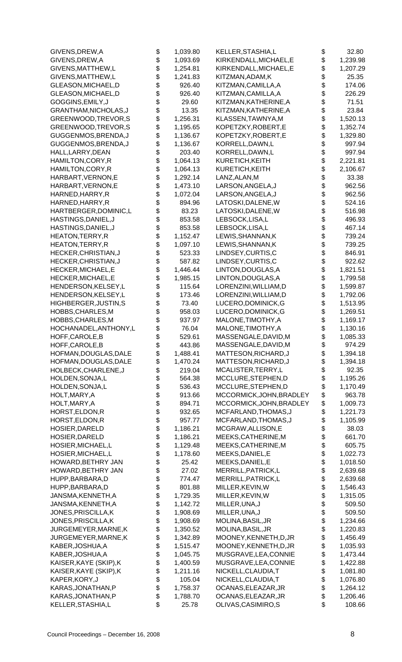| GIVENS, DREW, A                           | \$       | 1,039.80           | KELLER, STASHIA, L                         | \$       | 32.80                |
|-------------------------------------------|----------|--------------------|--------------------------------------------|----------|----------------------|
| GIVENS, DREW, A                           | \$       | 1,093.69           | KIRKENDALL, MICHAEL, E                     | \$       | 1,239.98             |
| GIVENS, MATTHEW, L                        | \$       | 1,254.81           | KIRKENDALL, MICHAEL, E                     | \$       | 1,207.29             |
| GIVENS, MATTHEW, L                        | \$       | 1,241.83           | KITZMAN, ADAM, K                           | \$       | 25.35                |
| GLEASON, MICHAEL, D                       | \$       | 926.40             | KITZMAN, CAMILLA, A                        | \$       | 174.06               |
| GLEASON, MICHAEL, D                       | \$       | 926.40             | KITZMAN, CAMILLA, A                        | \$       | 226.29               |
| GOGGINS, EMILY, J                         | \$       | 29.60              | KITZMAN, KATHERINE, A                      | \$       | 71.51                |
| GRANTHAM, NICHOLAS, J                     | \$       | 13.35              | KITZMAN, KATHERINE, A                      | \$       | 23.84                |
| GREENWOOD, TREVOR, S                      | \$       | 1,256.31           | KLASSEN, TAWNYA, M                         | \$       | 1,520.13             |
| GREENWOOD, TREVOR, S                      | \$       | 1,195.65           | KOPETZKY, ROBERT, E                        | \$       | 1,352.74             |
| GUGGENMOS, BRENDA, J                      | \$       | 1,136.67           | KOPETZKY, ROBERT, E                        | \$       | 1,329.80             |
| GUGGENMOS, BRENDA, J                      | \$       | 1,136.67           | KORRELL, DAWN, L                           | \$       | 997.94               |
| HALL, LARRY, DEAN<br>HAMILTON, CORY, R    | \$<br>\$ | 203.40<br>1,064.13 | KORRELL, DAWN, L<br>KURETICH, KEITH        | \$<br>\$ | 997.94<br>2,221.81   |
| HAMILTON, CORY, R                         | \$       | 1,064.13           | KURETICH, KEITH                            | \$       | 2,106.67             |
| HARBART, VERNON, E                        | \$       | 1,292.14           | LANZ, ALAN, M                              | \$       | 33.38                |
| HARBART, VERNON, E                        | \$       | 1,473.10           | LARSON, ANGELA, J                          | \$       | 962.56               |
| HARNED, HARRY, R                          | \$       | 1,072.04           | LARSON, ANGELA, J                          | \$       | 962.56               |
| HARNED, HARRY, R                          | \$       | 894.96             | LATOSKI, DALENE, W                         | \$       | 524.16               |
| HARTBERGER, DOMINIC, L                    | \$       | 83.23              | LATOSKI, DALENE, W                         | \$       | 516.98               |
| HASTINGS, DANIEL, J                       | \$       | 853.58             | LEBSOCK, LISA, L                           | \$       | 496.93               |
| HASTINGS, DANIEL, J                       | \$       | 853.58             | LEBSOCK,LISA,L                             | \$       | 467.14               |
| <b>HEATON, TERRY, R</b>                   | \$       | 1,152.47           | LEWIS, SHANNAN, K                          | \$       | 739.24               |
| HEATON, TERRY, R                          | \$       | 1,097.10           | LEWIS, SHANNAN, K                          | \$       | 739.25               |
| HECKER, CHRISTIAN, J                      | \$       | 523.33             | LINDSEY, CURTIS, C                         | \$       | 846.91               |
| HECKER, CHRISTIAN, J                      | \$       | 587.82             | LINDSEY, CURTIS, C                         | \$       | 922.62               |
| HECKER, MICHAEL, E                        | \$       | 1,446.44           | LINTON, DOUGLAS, A                         | \$       | 1,821.51             |
| HECKER, MICHAEL, E                        | \$       | 1,985.15           | LINTON, DOUGLAS, A                         | \$       | 1,799.58             |
| HENDERSON, KELSEY, L                      | \$       | 115.64             | LORENZINI, WILLIAM, D                      | \$       | 1,599.87             |
| HENDERSON, KELSEY, L                      | \$       | 173.46             | LORENZINI, WILLIAM, D                      | \$       | 1,792.06             |
| HIGHBERGER, JUSTIN, S                     | \$       | 73.40              | LUCERO, DOMINICK, G                        | \$       | 1,513.95             |
| HOBBS, CHARLES, M                         | \$       | 958.03             | LUCERO, DOMINICK, G                        | \$       | 1,269.51             |
| HOBBS, CHARLES, M                         | \$       | 937.97             | MALONE, TIMOTHY, A                         | \$       | 1,169.17             |
| HOCHANADEL, ANTHONY, L<br>HOFF, CAROLE, B | \$<br>\$ | 76.04<br>529.61    | MALONE, TIMOTHY, A<br>MASSENGALE, DAVID, M | \$<br>\$ | 1,130.16             |
| HOFF, CAROLE, B                           | \$       | 443.86             | MASSENGALE, DAVID, M                       | \$       | 1,085.33<br>974.29   |
| HOFMAN, DOUGLAS, DALE                     | \$       | 1,488.41           | MATTESON, RICHARD, J                       | \$       | 1,394.18             |
| HOFMAN, DOUGLAS, DALE                     | \$       | 1,470.24           | MATTESON, RICHARD, J                       | \$       | 1,394.18             |
| HOLBECK, CHARLENE, J                      | \$       | 219.04             | MCALISTER, TERRY, L                        | \$       | 92.35                |
| HOLDEN, SONJA, L                          | \$       | 564.38             | MCCLURE, STEPHEN, D                        | \$       | 1,195.26             |
| HOLDEN, SONJA, L                          | \$       | 536.43             | MCCLURE, STEPHEN, D                        | \$       | 1,170.49             |
| HOLT, MARY, A                             | \$       | 913.66             | MCCORMICK, JOHN, BRADLEY                   | \$       | 963.78               |
| HOLT, MARY, A                             | \$       | 894.71             | MCCORMICK, JOHN, BRADLEY                   | \$       | 1,009.73             |
| HORST, ELDON, R                           | \$       | 932.65             | MCFARLAND, THOMAS, J                       | \$       | 1,221.73             |
| HORST, ELDON, R                           | \$       | 957.77             | MCFARLAND, THOMAS, J                       | \$       | 1,105.99             |
| HOSIER, DARELD                            | \$       | 1,186.21           | MCGRAW, ALLISON, E                         | \$       | 38.03                |
| HOSIER, DARELD                            | \$       | 1,186.21           | MEEKS, CATHERINE, M                        | \$       | 661.70               |
| HOSIER, MICHAEL, L                        | \$       | 1,129.48           | MEEKS, CATHERINE, M                        | \$       | 605.75               |
| HOSIER, MICHAEL, L                        | \$       | 1,178.60           | MEEKS, DANIEL, E                           | \$       | 1,022.73             |
| HOWARD, BETHRY JAN                        | \$       | 25.42              | MEEKS, DANIEL, E                           | \$       | 1,018.50             |
| HOWARD, BETHRY JAN                        | \$       | 27.02              | MERRILL, PATRICK, L                        | \$       | 2,639.68             |
| HUPP, BARBARA, D                          | \$       | 774.47             | MERRILL, PATRICK, L                        | \$       | 2,639.68             |
| HUPP, BARBARA, D<br>JANSMA, KENNETH, A    | \$<br>\$ | 801.88<br>1,729.35 | MILLER, KEVIN, W<br>MILLER, KEVIN, W       | \$<br>\$ | 1,546.43<br>1,315.05 |
| JANSMA, KENNETH, A                        | \$       | 1,142.72           | MILLER, UNA, J                             | \$       | 509.50               |
| JONES, PRISCILLA, K                       | \$       | 1,908.69           | MILLER, UNA, J                             | \$       | 509.50               |
| JONES, PRISCILLA, K                       | \$       | 1,908.69           | MOLINA, BASIL, JR                          | \$       | 1,234.66             |
| JURGEMEYER, MARNE, K                      | \$       | 1,350.52           | MOLINA, BASIL, JR                          | \$       | 1,220.83             |
| JURGEMEYER, MARNE, K                      | \$       | 1,342.89           | MOONEY, KENNETH, D, JR                     | \$       | 1,456.49             |
| KABER, JOSHUA, A                          | \$       | 1,515.47           | MOONEY, KENNETH, D, JR                     | \$       | 1,035.93             |
| KABER, JOSHUA, A                          | \$       | 1,045.75           | MUSGRAVE, LEA, CONNIE                      | \$       | 1,473.44             |
| KAISER, KAYE (SKIP), K                    | \$       | 1,400.59           | MUSGRAVE, LEA, CONNIE                      | \$       | 1,422.88             |
| KAISER, KAYE (SKIP), K                    | \$       | 1,211.16           | NICKELL, CLAUDIA, T                        | \$       | 1,081.80             |
| KAPER, KORY, J                            | \$       | 105.04             | NICKELL, CLAUDIA, T                        | \$       | 1,076.80             |
| KARAS, JONATHAN, P                        | \$       | 1,758.37           | OCANAS, ELEAZAR, JR                        | \$       | 1,264.12             |
| KARAS, JONATHAN, P                        | \$       | 1,788.70           | OCANAS, ELEAZAR, JR                        | \$       | 1,206.46             |
| KELLER, STASHIA, L                        | \$       | 25.78              | OLIVAS, CASIMIRO, S                        | \$       | 108.66               |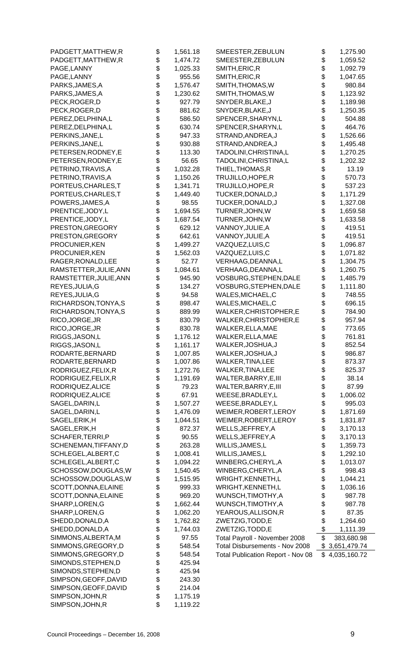| PADGETT, MATTHEW, R    | \$<br>1,561.18 | SMEESTER, ZEBULUN                 | \$<br>1,275.90   |
|------------------------|----------------|-----------------------------------|------------------|
| PADGETT, MATTHEW, R    | \$<br>1,474.72 | SMEESTER, ZEBULUN                 | \$<br>1,059.52   |
| PAGE, LANNY            | \$<br>1,025.33 | SMITH, ERIC, R                    | \$<br>1,092.79   |
| PAGE, LANNY            | \$<br>955.56   | SMITH, ERIC, R                    | \$<br>1,047.65   |
| PARKS, JAMES, A        | \$<br>1,576.47 | SMITH, THOMAS, W                  | \$<br>980.84     |
| PARKS, JAMES, A        | \$<br>1,230.62 | SMITH, THOMAS, W                  | \$<br>1,123.92   |
| PECK, ROGER, D         | \$<br>927.79   | SNYDER, BLAKE, J                  | \$<br>1,189.98   |
| PECK, ROGER, D         | \$<br>881.62   | SNYDER, BLAKE, J                  | \$<br>1,250.35   |
| PEREZ, DELPHINA, L     | \$<br>586.50   | SPENCER, SHARYN, L                | \$<br>504.88     |
|                        |                |                                   |                  |
| PEREZ, DELPHINA, L     | \$<br>630.74   | SPENCER, SHARYN, L                | \$<br>464.76     |
| PERKINS, JANE, L       | \$<br>947.33   | STRAND, ANDREA, J                 | \$<br>1,526.66   |
| PERKINS, JANE, L       | \$<br>930.88   | STRAND, ANDREA, J                 | \$<br>1,495.48   |
| PETERSEN, RODNEY, E    | \$<br>113.30   | TADOLINI, CHRISTINA, L            | \$<br>1,270.25   |
| PETERSEN, RODNEY, E    | \$<br>56.65    | TADOLINI, CHRISTINA, L            | \$<br>1,202.32   |
| PETRINO, TRAVIS, A     | \$<br>1,032.28 | THIEL, THOMAS, R                  | \$<br>13.19      |
| PETRINO, TRAVIS, A     | \$<br>1,150.26 | TRUJILLO, HOPE, R                 | \$<br>570.73     |
| PORTEUS, CHARLES, T    | \$<br>1,341.71 | TRUJILLO, HOPE, R                 | \$<br>537.23     |
| PORTEUS, CHARLES, T    | \$<br>1,449.40 | TUCKER, DONALD, J                 | \$<br>1,171.29   |
| POWERS, JAMES, A       | \$<br>98.55    | TUCKER, DONALD, J                 | \$<br>1,327.08   |
| PRENTICE, JODY, L      | \$<br>1,694.55 | TURNER, JOHN, W                   | \$<br>1,659.58   |
| PRENTICE, JODY, L      | \$<br>1,687.54 | TURNER, JOHN, W                   | \$<br>1,633.58   |
| PRESTON, GREGORY       | \$<br>629.12   | VANNOY, JULIE, A                  | \$<br>419.51     |
|                        | \$             |                                   | \$               |
| PRESTON, GREGORY       | 642.61         | VANNOY, JULIE, A                  | 419.51           |
| PROCUNIER, KEN         | \$<br>1,499.27 | VAZQUEZ, LUIS, C                  | \$<br>1,096.87   |
| PROCUNIER, KEN         | \$<br>1,562.03 | VAZQUEZ,LUIS,C                    | \$<br>1,071.82   |
| RAGER, RONALD, LEE     | \$<br>52.77    | VERHAAG, DEANNA, L                | \$<br>1,304.75   |
| RAMSTETTER, JULIE, ANN | \$<br>1,084.61 | VERHAAG, DEANNA, L                | \$<br>1,260.75   |
| RAMSTETTER, JULIE, ANN | \$<br>945.90   | VOSBURG, STEPHEN, DALE            | \$<br>1,485.79   |
| REYES, JULIA, G        | \$<br>134.27   | VOSBURG, STEPHEN, DALE            | \$<br>1,111.80   |
| REYES, JULIA, G        | \$<br>94.58    | WALES, MICHAEL, C                 | \$<br>748.55     |
| RICHARDSON, TONYA, S   | \$<br>898.47   | WALES, MICHAEL, C                 | \$<br>696.15     |
| RICHARDSON, TONYA, S   | \$<br>889.99   | WALKER, CHRISTOPHER, E            | \$<br>784.90     |
| RICO, JORGE, JR        | \$<br>830.79   | WALKER, CHRISTOPHER, E            | \$<br>957.94     |
| RICO, JORGE, JR        | \$<br>830.78   | WALKER, ELLA, MAE                 | \$<br>773.65     |
| RIGGS, JASON, L        | \$<br>1,176.12 | WALKER, ELLA, MAE                 | \$<br>761.81     |
| RIGGS, JASON, L        | \$<br>1,161.17 | WALKER, JOSHUA, J                 | \$<br>852.54     |
|                        |                |                                   | \$               |
| RODARTE, BERNARD       | \$<br>1,007.85 | WALKER, JOSHUA, J                 | 986.87           |
| RODARTE, BERNARD       | \$<br>1,007.86 | WALKER, TINA, LEE                 | \$<br>873.37     |
| RODRIGUEZ, FELIX, R    | \$<br>1,272.76 | WALKER, TINA, LEE                 | \$<br>825.37     |
| RODRIGUEZ, FELIX, R    | \$<br>1,191.69 | WALTER, BARRY, E, III             | \$<br>38.14      |
| RODRIQUEZ, ALICE       | \$<br>79.23    | WALTER, BARRY, E, III             | \$<br>87.99      |
| RODRIQUEZ, ALICE       | \$<br>67.91    | WEESE, BRADLEY, L                 | \$<br>1,006.02   |
| SAGEL, DARIN, L        | \$<br>1,507.27 | WEESE, BRADLEY, L                 | \$<br>995.03     |
| SAGEL, DARIN, L        | \$<br>1,476.09 | WEIMER, ROBERT, LEROY             | \$<br>1,871.69   |
| SAGEL, ERIK, H         | \$<br>1,044.51 | WEIMER, ROBERT, LEROY             | \$<br>1,831.87   |
| SAGEL, ERIK, H         | \$<br>872.37   | WELLS, JEFFREY, A                 | \$<br>3,170.13   |
| SCHAFER, TERRI, P      | \$<br>90.55    | WELLS, JEFFREY, A                 | \$<br>3,170.13   |
| SCHENEMAN, TIFFANY, D  | \$<br>263.28   | WILLIS, JAMES, L                  | \$<br>1,359.73   |
| SCHLEGEL, ALBERT, C    | \$<br>1,008.41 | WILLIS, JAMES, L                  | \$<br>1,292.10   |
| SCHLEGEL, ALBERT, C    | \$<br>1,094.22 | WINBERG, CHERYL, A                | \$<br>1,013.07   |
|                        |                |                                   |                  |
| SCHOSSOW, DOUGLAS, W   | \$<br>1,540.45 | WINBERG, CHERYL, A                | \$<br>998.43     |
| SCHOSSOW, DOUGLAS, W   | \$<br>1,515.95 | WRIGHT, KENNETH, L                | \$<br>1,044.21   |
| SCOTT, DONNA, ELAINE   | \$<br>999.33   | WRIGHT, KENNETH, L                | \$<br>1,036.16   |
| SCOTT, DONNA, ELAINE   | \$<br>969.20   | WUNSCH, TIMOTHY, A                | \$<br>987.78     |
| SHARP, LOREN, G        | \$<br>1,662.44 | WUNSCH, TIMOTHY, A                | \$<br>987.78     |
| SHARP, LOREN, G        | \$<br>1,062.20 | YEAROUS, ALLISON, R               | \$<br>87.35      |
| SHEDD, DONALD, A       | \$<br>1,762.82 | ZWETZIG, TODD, E                  | \$<br>1,264.60   |
| SHEDD, DONALD, A       | \$<br>1,744.03 | ZWETZIG, TODD, E                  | \$<br>1,111.39   |
| SIMMONS, ALBERTA, M    | \$<br>97.55    | Total Payroll - November 2008     | \$<br>383,680.98 |
| SIMMONS, GREGORY, D    | \$<br>548.54   | Total Disbursements - Nov 2008    | \$3,651,479.74   |
| SIMMONS, GREGORY, D    | \$<br>548.54   | Total Publication Report - Nov 08 | \$4,035,160.72   |
| SIMONDS, STEPHEN, D    | \$<br>425.94   |                                   |                  |
| SIMONDS, STEPHEN, D    | \$<br>425.94   |                                   |                  |
| SIMPSON, GEOFF, DAVID  | \$             |                                   |                  |
|                        | 243.30         |                                   |                  |
| SIMPSON, GEOFF, DAVID  | \$<br>214.04   |                                   |                  |
| SIMPSON, JOHN, R       | \$<br>1,175.19 |                                   |                  |
| SIMPSON, JOHN, R       | \$<br>1,119.22 |                                   |                  |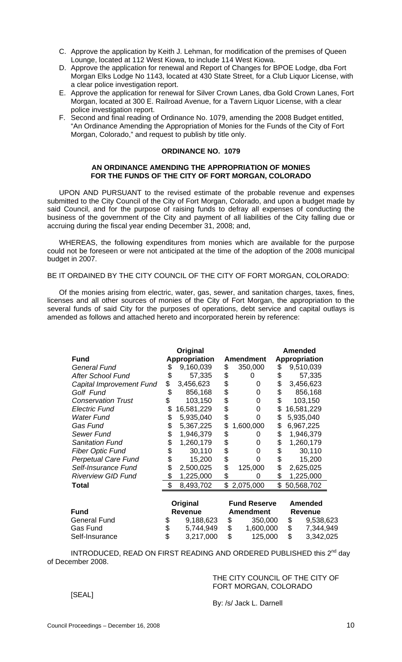- C. Approve the application by Keith J. Lehman, for modification of the premises of Queen Lounge, located at 112 West Kiowa, to include 114 West Kiowa.
- D. Approve the application for renewal and Report of Changes for BPOE Lodge, dba Fort Morgan Elks Lodge No 1143, located at 430 State Street, for a Club Liquor License, with a clear police investigation report.
- E. Approve the application for renewal for Silver Crown Lanes, dba Gold Crown Lanes, Fort Morgan, located at 300 E. Railroad Avenue, for a Tavern Liquor License, with a clear police investigation report.
- F. Second and final reading of Ordinance No. 1079, amending the 2008 Budget entitled, "An Ordinance Amending the Appropriation of Monies for the Funds of the City of Fort Morgan, Colorado," and request to publish by title only.

## **ORDINANCE NO. 1079**

### **AN ORDINANCE AMENDING THE APPROPRIATION OF MONIES FOR THE FUNDS OF THE CITY OF FORT MORGAN, COLORADO**

UPON AND PURSUANT to the revised estimate of the probable revenue and expenses submitted to the City Council of the City of Fort Morgan, Colorado, and upon a budget made by said Council, and for the purpose of raising funds to defray all expenses of conducting the business of the government of the City and payment of all liabilities of the City falling due or accruing during the fiscal year ending December 31, 2008; and,

WHEREAS, the following expenditures from monies which are available for the purpose could not be foreseen or were not anticipated at the time of the adoption of the 2008 municipal budget in 2007.

# BE IT ORDAINED BY THE CITY COUNCIL OF THE CITY OF FORT MORGAN, COLORADO:

 Of the monies arising from electric, water, gas, sewer, and sanitation charges, taxes, fines, licenses and all other sources of monies of the City of Fort Morgan, the appropriation to the several funds of said City for the purposes of operations, debt service and capital outlays is amended as follows and attached hereto and incorporated herein by reference:

|                            | Original                   |            |                  |                                         |                      | <b>Amended</b>                   |  |
|----------------------------|----------------------------|------------|------------------|-----------------------------------------|----------------------|----------------------------------|--|
| <b>Fund</b>                | Appropriation              |            | <b>Amendment</b> |                                         | <b>Appropriation</b> |                                  |  |
| <b>General Fund</b>        | \$                         | 9,160,039  | \$               | 350,000                                 | \$                   | 9,510,039                        |  |
| <b>After School Fund</b>   | \$                         | 57,335     |                  | 0                                       | \$                   | 57,335                           |  |
| Capital Improvement Fund   | \$                         | 3,456,623  | \$<br>\$         | 0                                       | \$                   | 3,456,623                        |  |
| Golf Fund                  | \$                         | 856,168    |                  | O                                       | \$                   | 856,168                          |  |
| <b>Conservation Trust</b>  | \$                         | 103,150    |                  | 0                                       | \$                   | 103,150                          |  |
| <b>Electric Fund</b>       | \$                         | 16,581,229 | \$\$             | 0                                       | \$                   | 16,581,229                       |  |
| <b>Water Fund</b>          | \$                         | 5,935,040  |                  | O                                       | \$                   | 5,935,040                        |  |
| Gas Fund                   | \$                         | 5,367,225  | \$               | 1,600,000                               | \$                   | 6,967,225                        |  |
| Sewer Fund                 | \$                         | 1,946,379  |                  | Ő                                       | \$                   | 1,946,379                        |  |
| <b>Sanitation Fund</b>     | \$                         | 1,260,179  | \$\$             | 0                                       | \$                   | 1,260,179                        |  |
| <b>Fiber Optic Fund</b>    | \$                         | 30,110     |                  | 0                                       | \$                   | 30,110                           |  |
| <b>Perpetual Care Fund</b> | \$                         | 15,200     | \$               |                                         | \$                   | 15,200                           |  |
| Self-Insurance Fund        | \$                         | 2,500,025  |                  | 125,000                                 | \$                   | 2,625,025                        |  |
| <b>Riverview GID Fund</b>  | \$                         | 1,225,000  | \$               | 0                                       | \$                   | 1,225,000                        |  |
| Total                      |                            | 8,493,702  | \$               | 2,075,000                               | \$                   | 50,568,702                       |  |
| <b>Fund</b>                | Original<br><b>Revenue</b> |            |                  | <b>Fund Reserve</b><br><b>Amendment</b> |                      | <b>Amended</b><br><b>Revenue</b> |  |
| General Fund               | 9,188,623<br>\$            |            | \$               | 350,000                                 |                      | \$<br>9,538,623                  |  |
| <b>Gas Fund</b>            | 5,744,949<br>\$            |            | \$               | 1,600,000                               |                      | \$<br>7,344,949                  |  |

INTRODUCED, READ ON FIRST READING AND ORDERED PUBLISHED this 2<sup>nd</sup> day of December 2008.

Self-Insurance \$ 3,217,000 \$ 125,000 \$ 3,342,025

 THE CITY COUNCIL OF THE CITY OF FORT MORGAN, COLORADO

[SEAL]

By: /s/ Jack L. Darnell